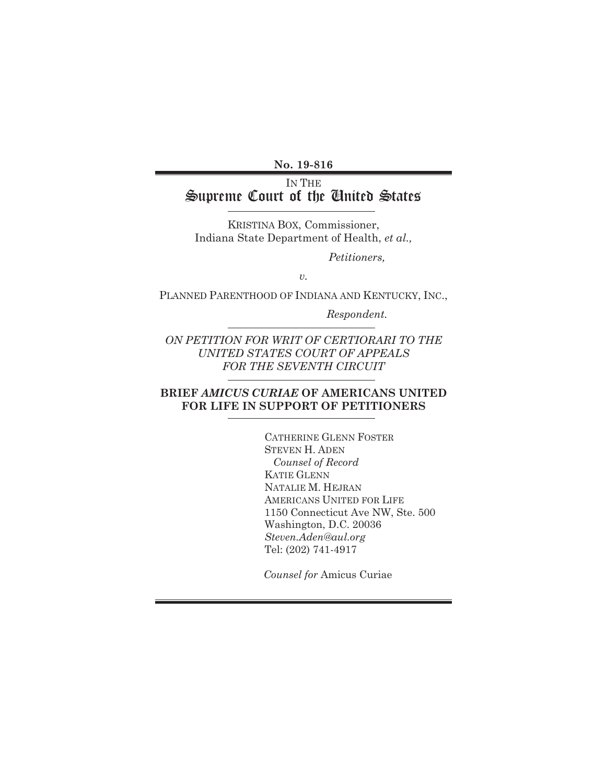**No. 19-816** 

# IN THE Supreme Court of the United States

KRISTINA BOX, Commissioner, Indiana State Department of Health, *et al.,* 

 *Petitioners,* 

*v.* 

PLANNED PARENTHOOD OF INDIANA AND KENTUCKY, INC.,

 *Respondent.* 

*ON PETITION FOR WRIT OF CERTIORARI TO THE UNITED STATES COURT OF APPEALS FOR THE SEVENTH CIRCUIT* 

# **BRIEF** *AMICUS CURIAE* **OF AMERICANS UNITED FOR LIFE IN SUPPORT OF PETITIONERS**

CATHERINE GLENN FOSTER STEVEN H. ADEN *Counsel of Record* KATIE GLENN NATALIE M. HEJRAN AMERICANS UNITED FOR LIFE 1150 Connecticut Ave NW, Ste. 500 Washington, D.C. 20036 *Steven.Aden@aul.org*  Tel: (202) 741-4917

*Counsel for* Amicus Curiae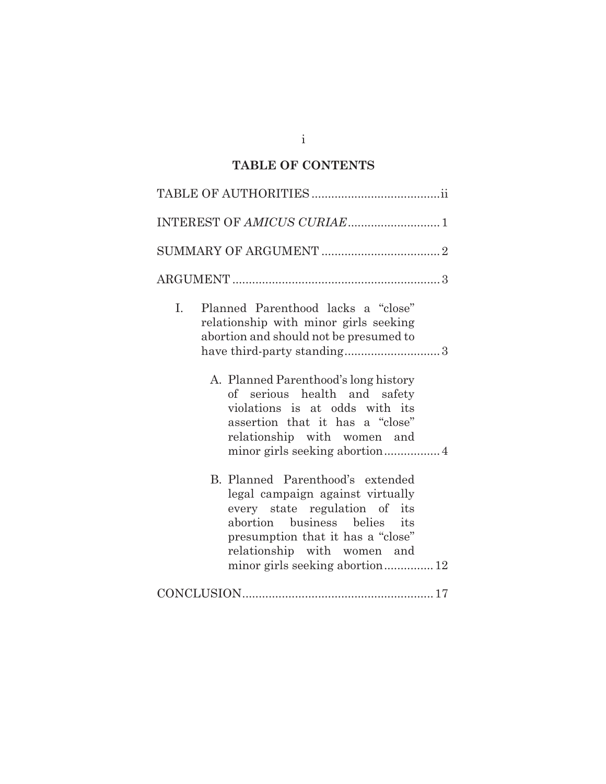# **TABLE OF CONTENTS**

| Planned Parenthood lacks a "close"<br>L.<br>relationship with minor girls seeking<br>abortion and should not be presumed to                                                                                                                  |
|----------------------------------------------------------------------------------------------------------------------------------------------------------------------------------------------------------------------------------------------|
| A. Planned Parenthood's long history<br>of serious health and safety<br>violations is at odds with its<br>assertion that it has a "close"<br>relationship with women and                                                                     |
| B. Planned Parenthood's extended<br>legal campaign against virtually<br>every state regulation of its<br>abortion business belies its<br>presumption that it has a "close"<br>relationship with women and<br>minor girls seeking abortion 12 |
|                                                                                                                                                                                                                                              |

i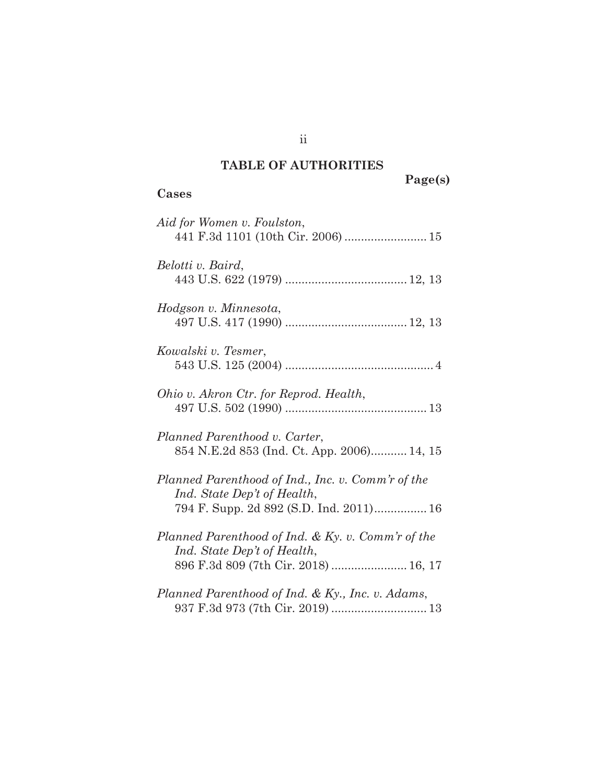# **TABLE OF AUTHORITIES**

**Cases** 

**Page(s)** 

| Aid for Women v. Foulston,<br>441 F.3d 1101 (10th Cir. 2006)  15                                                            |
|-----------------------------------------------------------------------------------------------------------------------------|
| Belotti v. Baird,                                                                                                           |
| Hodgson v. Minnesota,                                                                                                       |
| Kowalski v. Tesmer,                                                                                                         |
| Ohio v. Akron Ctr. for Reprod. Health,                                                                                      |
| Planned Parenthood v. Carter,<br>854 N.E.2d 853 (Ind. Ct. App. 2006) 14, 15                                                 |
| Planned Parenthood of Ind., Inc. v. Comm'r of the<br>Ind. State Dep't of Health,<br>794 F. Supp. 2d 892 (S.D. Ind. 2011) 16 |
| Planned Parenthood of Ind. & Ky. v. Comm'r of the<br>Ind. State Dep't of Health,<br>896 F.3d 809 (7th Cir. 2018)  16, 17    |
| Planned Parenthood of Ind. & Ky., Inc. v. Adams,                                                                            |

ii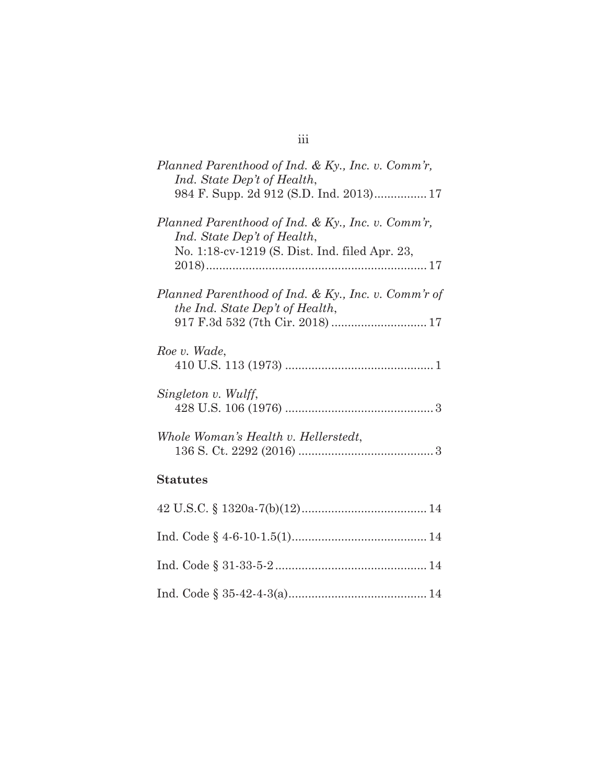| Planned Parenthood of Ind. & Ky., Inc. v. Comm'r,<br>Ind. State Dep't of Health,                                                   |
|------------------------------------------------------------------------------------------------------------------------------------|
| Planned Parenthood of Ind. & Ky., Inc. v. Comm'r,<br>Ind. State Dep't of Health,<br>No. 1:18-cv-1219 (S. Dist. Ind. filed Apr. 23, |
| Planned Parenthood of Ind. & Ky., Inc. v. Comm'r of<br>the Ind. State Dep't of Health,                                             |
| Roe v. Wade,                                                                                                                       |
| Singleton v. Wulff,                                                                                                                |
| Whole Woman's Health v. Hellerstedt,                                                                                               |
| <b>Statutes</b>                                                                                                                    |
| $19$ II S C & 1390a.7(b)(19)<br>$1\Lambda$                                                                                         |

# iii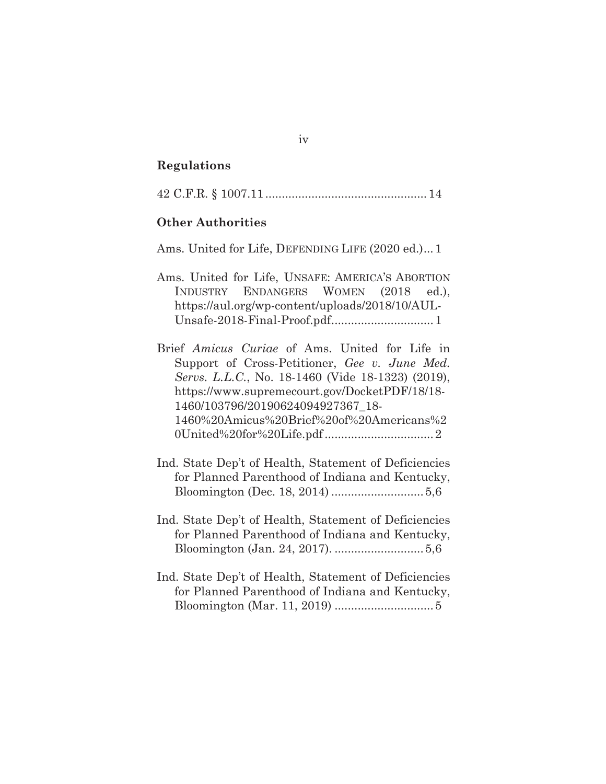#### **Regulations**

|--|--|--|--|--|--|

#### **Other Authorities**

Ams. United for Life, DEFENDING LIFE (2020 ed.)... 1

- Ams. United for Life, UNSAFE: AMERICA'S ABORTION INDUSTRY ENDANGERS WOMEN (2018 ed.), https://aul.org/wp-content/uploads/2018/10/AUL-Unsafe-2018-Final-Proof.pdf ............................... 1
- Brief *Amicus Curiae* of Ams. United for Life in Support of Cross-Petitioner, *Gee v. June Med. Servs. L.L.C.*, No. 18-1460 (Vide 18-1323) (2019), https://www.supremecourt.gov/DocketPDF/18/18- 1460/103796/20190624094927367\_18- 1460%20Amicus%20Brief%20of%20Americans%2 0United%20for%20Life.pdf ................................. 2
- Ind. State Dep't of Health, Statement of Deficiencies for Planned Parenthood of Indiana and Kentucky, Bloomington (Dec. 18, 2014) ............................ 5,6
- Ind. State Dep't of Health, Statement of Deficiencies for Planned Parenthood of Indiana and Kentucky, Bloomington (Jan. 24, 2017). ........................... 5,6
- Ind. State Dep't of Health, Statement of Deficiencies for Planned Parenthood of Indiana and Kentucky, Bloomington (Mar. 11, 2019) .............................. 5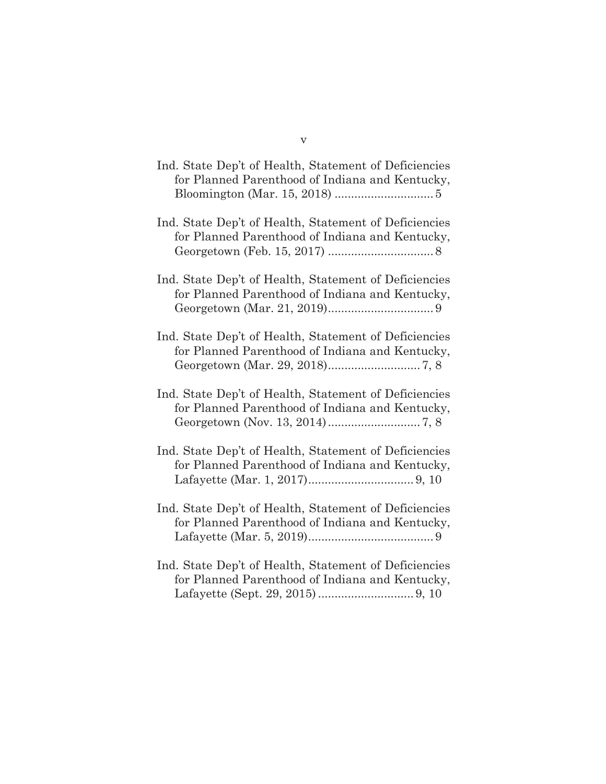| Ind. State Dep't of Health, Statement of Deficiencies<br>for Planned Parenthood of Indiana and Kentucky, |
|----------------------------------------------------------------------------------------------------------|
| Ind. State Dep't of Health, Statement of Deficiencies<br>for Planned Parenthood of Indiana and Kentucky, |
| Ind. State Dep't of Health, Statement of Deficiencies<br>for Planned Parenthood of Indiana and Kentucky, |
| Ind. State Dep't of Health, Statement of Deficiencies<br>for Planned Parenthood of Indiana and Kentucky, |
| Ind. State Dep't of Health, Statement of Deficiencies<br>for Planned Parenthood of Indiana and Kentucky, |
| Ind. State Dep't of Health, Statement of Deficiencies<br>for Planned Parenthood of Indiana and Kentucky, |
| Ind. State Dep't of Health, Statement of Deficiencies<br>for Planned Parenthood of Indiana and Kentucky, |
| Ind. State Dep't of Health, Statement of Deficiencies<br>for Planned Parenthood of Indiana and Kentucky, |

Lafayette (Sept. 29, 2015) ............................. 9, 10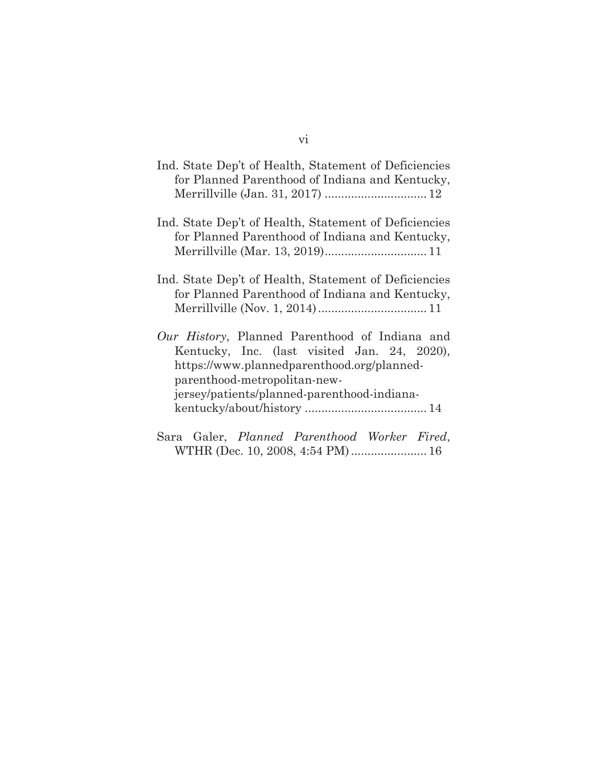| Ind. State Dep't of Health, Statement of Deficiencies<br>for Planned Parenthood of Indiana and Kentucky,                                                                                                                    |
|-----------------------------------------------------------------------------------------------------------------------------------------------------------------------------------------------------------------------------|
| Ind. State Dep't of Health, Statement of Deficiencies<br>for Planned Parenthood of Indiana and Kentucky,<br>Merrillville (Mar. 13, 2019) 11                                                                                 |
| Ind. State Dep't of Health, Statement of Deficiencies<br>for Planned Parenthood of Indiana and Kentucky,                                                                                                                    |
| Our History, Planned Parenthood of Indiana and<br>Kentucky, Inc. (last visited Jan. 24, 2020),<br>https://www.plannedparenthood.org/planned-<br>parenthood-metropolitan-new-<br>jersey/patients/planned-parenthood-indiana- |

Sara Galer, *Planned Parenthood Worker Fired*, WTHR (Dec. 10, 2008, 4:54 PM) ....................... 16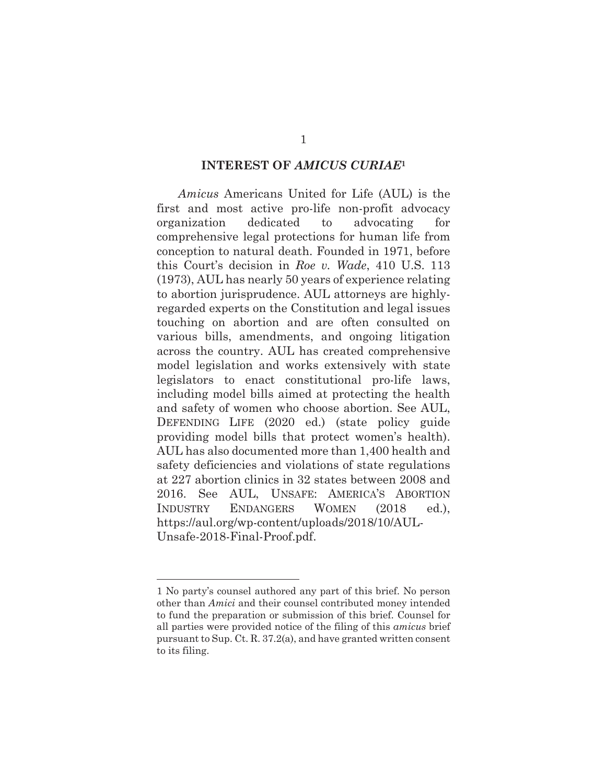#### **INTEREST OF** *AMICUS CURIAE***<sup>1</sup>**

*Amicus* Americans United for Life (AUL) is the first and most active pro-life non-profit advocacy organization dedicated to advocating for comprehensive legal protections for human life from conception to natural death. Founded in 1971, before this Court's decision in *Roe v. Wade*, 410 U.S. 113 (1973), AUL has nearly 50 years of experience relating to abortion jurisprudence. AUL attorneys are highlyregarded experts on the Constitution and legal issues touching on abortion and are often consulted on various bills, amendments, and ongoing litigation across the country. AUL has created comprehensive model legislation and works extensively with state legislators to enact constitutional pro-life laws, including model bills aimed at protecting the health and safety of women who choose abortion. See AUL, DEFENDING LIFE (2020 ed.) (state policy guide providing model bills that protect women's health). AUL has also documented more than 1,400 health and safety deficiencies and violations of state regulations at 227 abortion clinics in 32 states between 2008 and 2016. See AUL, UNSAFE: AMERICA'S ABORTION INDUSTRY ENDANGERS WOMEN (2018 ed.), https://aul.org/wp-content/uploads/2018/10/AUL-Unsafe-2018-Final-Proof.pdf.

<sup>1</sup> No party's counsel authored any part of this brief. No person other than *Amici* and their counsel contributed money intended to fund the preparation or submission of this brief. Counsel for all parties were provided notice of the filing of this *amicus* brief pursuant to Sup. Ct. R. 37.2(a), and have granted written consent to its filing.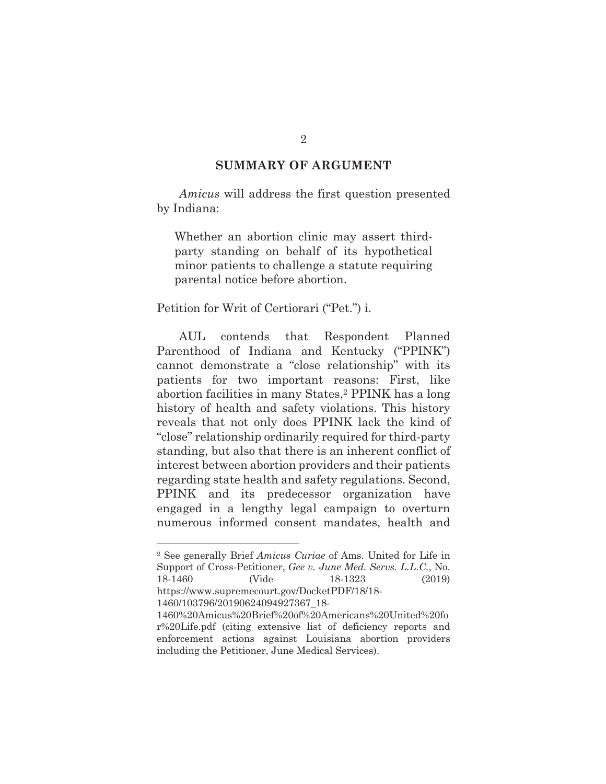## **SUMMARY OF ARGUMENT**

*Amicus* will address the first question presented by Indiana:

Whether an abortion clinic may assert thirdparty standing on behalf of its hypothetical minor patients to challenge a statute requiring parental notice before abortion.

#### Petition for Writ of Certiorari ("Pet.") i.

 AUL contends that Respondent Planned Parenthood of Indiana and Kentucky ("PPINK") cannot demonstrate a "close relationship" with its patients for two important reasons: First, like abortion facilities in many States,2 PPINK has a long history of health and safety violations. This history reveals that not only does PPINK lack the kind of "close" relationship ordinarily required for third-party standing, but also that there is an inherent conflict of interest between abortion providers and their patients regarding state health and safety regulations. Second, PPINK and its predecessor organization have engaged in a lengthy legal campaign to overturn numerous informed consent mandates, health and

<sup>2</sup> See generally Brief *Amicus Curiae* of Ams. United for Life in Support of Cross-Petitioner, *Gee v. June Med. Servs. L.L.C.*, No. 18-1460 (Vide 18-1323 (2019) https://www.supremecourt.gov/DocketPDF/18/18-

<sup>1460/103796/20190624094927367</sup>\_18-

<sup>1460%20</sup>Amicus%20Brief%20of%20Americans%20United%20fo r%20Life.pdf (citing extensive list of deficiency reports and enforcement actions against Louisiana abortion providers including the Petitioner, June Medical Services).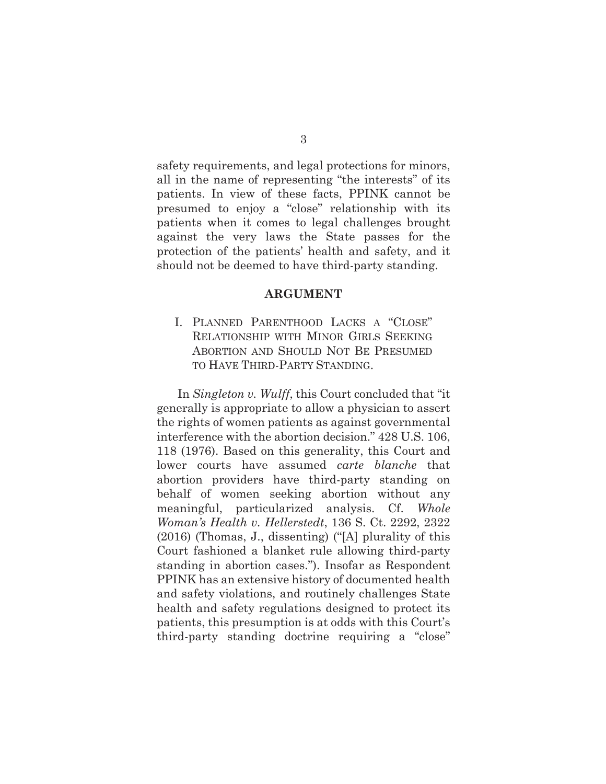safety requirements, and legal protections for minors, all in the name of representing "the interests" of its patients. In view of these facts, PPINK cannot be presumed to enjoy a "close" relationship with its patients when it comes to legal challenges brought against the very laws the State passes for the protection of the patients' health and safety, and it should not be deemed to have third-party standing.

#### **ARGUMENT**

I. PLANNED PARENTHOOD LACKS A "CLOSE" RELATIONSHIP WITH MINOR GIRLS SEEKING ABORTION AND SHOULD NOT BE PRESUMED TO HAVE THIRD-PARTY STANDING.

In *Singleton v. Wulff*, this Court concluded that "it generally is appropriate to allow a physician to assert the rights of women patients as against governmental interference with the abortion decision." 428 U.S. 106, 118 (1976). Based on this generality, this Court and lower courts have assumed *carte blanche* that abortion providers have third-party standing on behalf of women seeking abortion without any meaningful, particularized analysis. Cf. *Whole Woman's Health v. Hellerstedt*, 136 S. Ct. 2292, 2322 (2016) (Thomas, J., dissenting) ("[A] plurality of this Court fashioned a blanket rule allowing third-party standing in abortion cases."). Insofar as Respondent PPINK has an extensive history of documented health and safety violations, and routinely challenges State health and safety regulations designed to protect its patients, this presumption is at odds with this Court's third-party standing doctrine requiring a "close"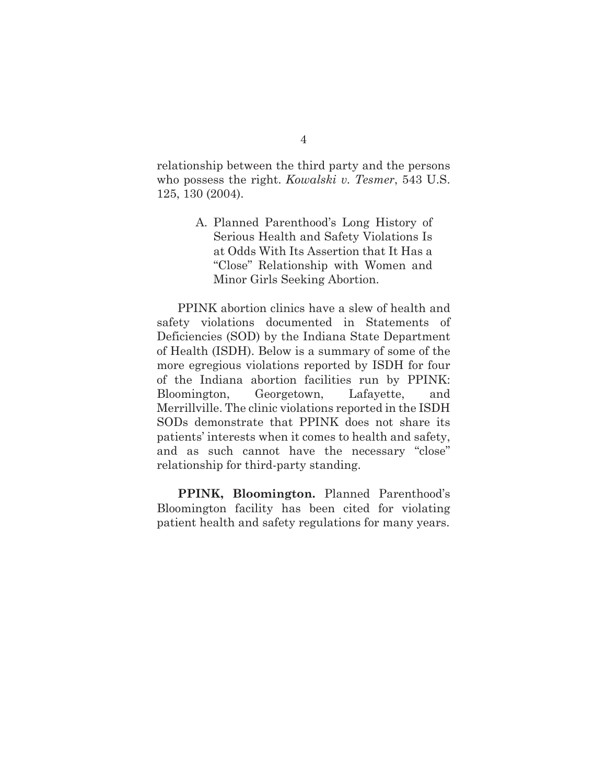relationship between the third party and the persons who possess the right. *Kowalski v. Tesmer*, 543 U.S. 125, 130 (2004).

> A. Planned Parenthood's Long History of Serious Health and Safety Violations Is at Odds With Its Assertion that It Has a "Close" Relationship with Women and Minor Girls Seeking Abortion.

PPINK abortion clinics have a slew of health and safety violations documented in Statements of Deficiencies (SOD) by the Indiana State Department of Health (ISDH). Below is a summary of some of the more egregious violations reported by ISDH for four of the Indiana abortion facilities run by PPINK: Bloomington, Georgetown, Lafayette, and Merrillville. The clinic violations reported in the ISDH SODs demonstrate that PPINK does not share its patients' interests when it comes to health and safety, and as such cannot have the necessary "close" relationship for third-party standing.

**PPINK, Bloomington.** Planned Parenthood's Bloomington facility has been cited for violating patient health and safety regulations for many years.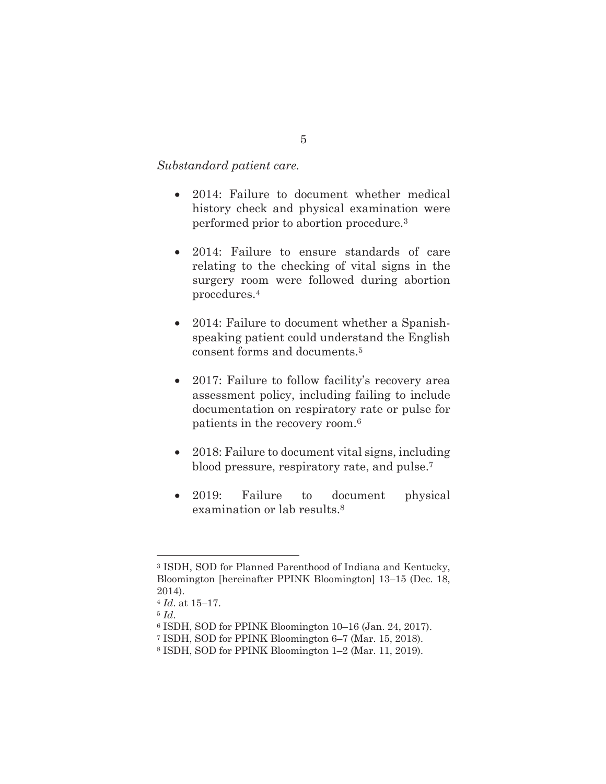#### *Substandard patient care.*

- 2014: Failure to document whether medical history check and physical examination were performed prior to abortion procedure.3
- 2014: Failure to ensure standards of care relating to the checking of vital signs in the surgery room were followed during abortion procedures.4
- 2014: Failure to document whether a Spanishspeaking patient could understand the English consent forms and documents.5
- 2017: Failure to follow facility's recovery area assessment policy, including failing to include documentation on respiratory rate or pulse for patients in the recovery room.6
- 2018: Failure to document vital signs, including blood pressure, respiratory rate, and pulse.7
- 2019: Failure to document physical examination or lab results.<sup>8</sup>

<sup>3</sup> ISDH, SOD for Planned Parenthood of Indiana and Kentucky, Bloomington [hereinafter PPINK Bloomington] 13–15 (Dec. 18, 2014).

<sup>4</sup> *Id*. at 15–17.

<sup>5</sup> *Id*. 6 ISDH, SOD for PPINK Bloomington 10–16 (Jan. 24, 2017).

<sup>7</sup> ISDH, SOD for PPINK Bloomington 6–7 (Mar. 15, 2018).

<sup>8</sup> ISDH, SOD for PPINK Bloomington 1–2 (Mar. 11, 2019).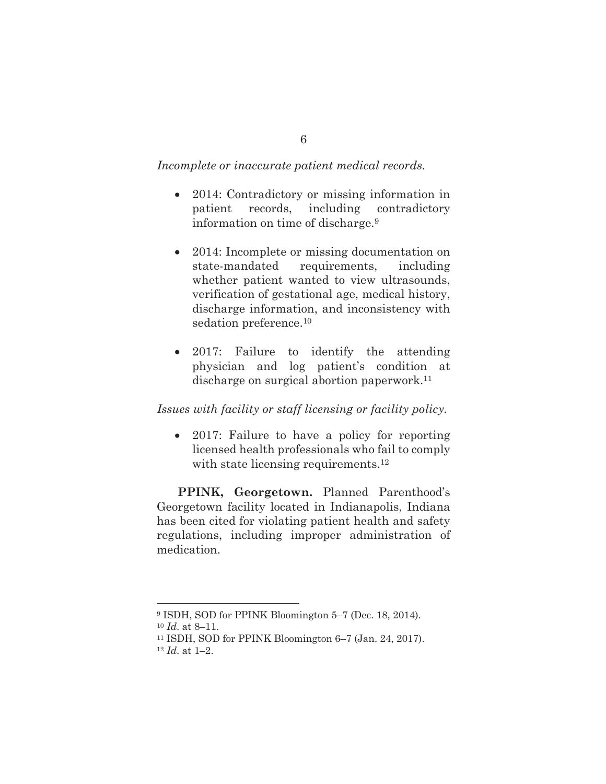#### *Incomplete or inaccurate patient medical records.*

- 2014: Contradictory or missing information in patient records, including contradictory information on time of discharge.9
- 2014: Incomplete or missing documentation on state-mandated requirements, including whether patient wanted to view ultrasounds, verification of gestational age, medical history, discharge information, and inconsistency with sedation preference.<sup>10</sup>
- 2017: Failure to identify the attending physician and log patient's condition at discharge on surgical abortion paperwork.11

## *Issues with facility or staff licensing or facility policy.*

• 2017: Failure to have a policy for reporting licensed health professionals who fail to comply with state licensing requirements.<sup>12</sup>

**PPINK, Georgetown.** Planned Parenthood's Georgetown facility located in Indianapolis, Indiana has been cited for violating patient health and safety regulations, including improper administration of medication.

<sup>9</sup> ISDH, SOD for PPINK Bloomington 5–7 (Dec. 18, 2014).

<sup>&</sup>lt;sup>10</sup> *Id.* at 8–11.<br><sup>11</sup> ISDH, SOD for PPINK Bloomington 6–7 (Jan. 24, 2017).

<sup>12</sup> *Id*. at 1–2.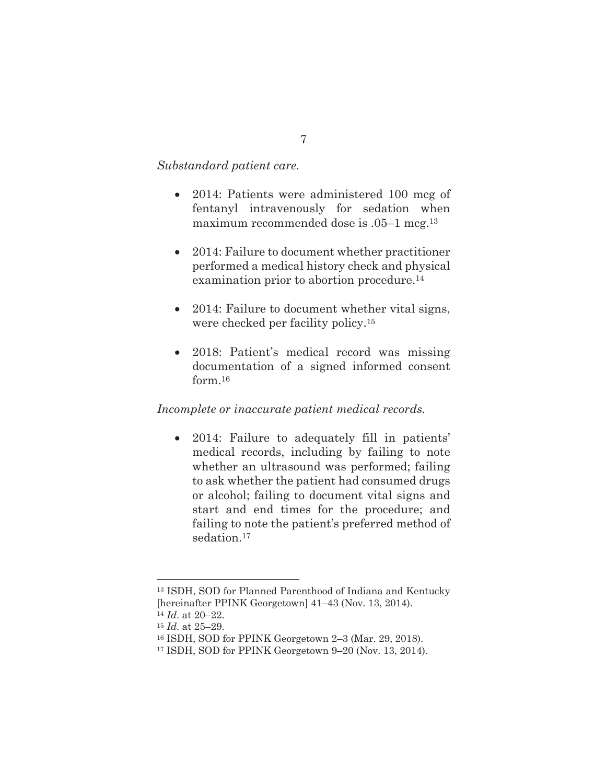## *Substandard patient care.*

- 2014: Patients were administered 100 mcg of fentanyl intravenously for sedation when maximum recommended dose is .05–1 mcg.13
- 2014: Failure to document whether practitioner performed a medical history check and physical examination prior to abortion procedure.<sup>14</sup>
- 2014: Failure to document whether vital signs, were checked per facility policy.15
- 2018: Patient's medical record was missing documentation of a signed informed consent form.16

# *Incomplete or inaccurate patient medical records.*

• 2014: Failure to adequately fill in patients' medical records, including by failing to note whether an ultrasound was performed; failing to ask whether the patient had consumed drugs or alcohol; failing to document vital signs and start and end times for the procedure; and failing to note the patient's preferred method of sedation.<sup>17</sup>

<sup>13</sup> ISDH, SOD for Planned Parenthood of Indiana and Kentucky [hereinafter PPINK Georgetown] 41–43 (Nov. 13, 2014).

<sup>14</sup> *Id*. at 20–22.

<sup>15</sup> *Id*. at 25–29.

<sup>16</sup> ISDH, SOD for PPINK Georgetown 2–3 (Mar. 29, 2018).

<sup>17</sup> ISDH, SOD for PPINK Georgetown 9–20 (Nov. 13, 2014).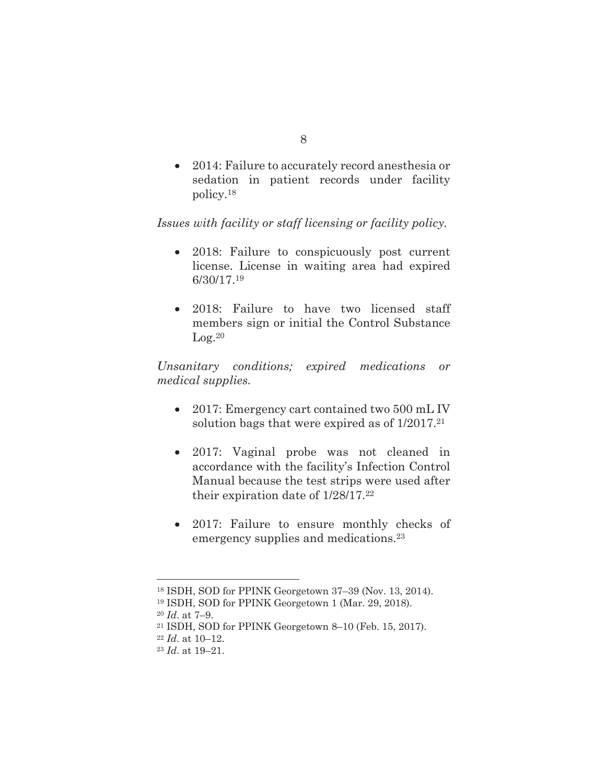• 2014: Failure to accurately record anesthesia or sedation in patient records under facility policy.18

# *Issues with facility or staff licensing or facility policy.*

- 2018: Failure to conspicuously post current license. License in waiting area had expired 6/30/17.19
- 2018: Failure to have two licensed staff members sign or initial the Control Substance  $Log.<sup>20</sup>$

*Unsanitary conditions; expired medications or medical supplies.* 

- 2017: Emergency cart contained two 500 mL IV solution bags that were expired as of 1/2017.21
- 2017: Vaginal probe was not cleaned in accordance with the facility's Infection Control Manual because the test strips were used after their expiration date of 1/28/17.22
- 2017: Failure to ensure monthly checks of emergency supplies and medications.23

19 ISDH, SOD for PPINK Georgetown 1 (Mar. 29, 2018).

<sup>18</sup> ISDH, SOD for PPINK Georgetown 37–39 (Nov. 13, 2014).

<sup>20</sup> *Id*. at 7–9. 21 ISDH, SOD for PPINK Georgetown 8–10 (Feb. 15, 2017).

<sup>22</sup> *Id*. at 10–12.

<sup>23</sup> *Id*. at 19–21.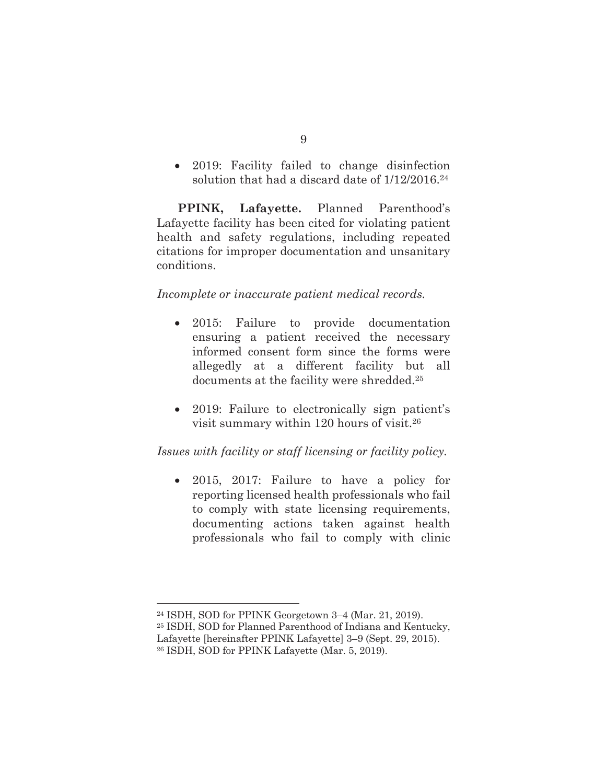• 2019: Facility failed to change disinfection solution that had a discard date of 1/12/2016.24

**PPINK, Lafayette.** Planned Parenthood's Lafayette facility has been cited for violating patient health and safety regulations, including repeated citations for improper documentation and unsanitary conditions.

# *Incomplete or inaccurate patient medical records.*

- 2015: Failure to provide documentation ensuring a patient received the necessary informed consent form since the forms were allegedly at a different facility but all documents at the facility were shredded.<sup>25</sup>
- 2019: Failure to electronically sign patient's visit summary within 120 hours of visit.26

# *Issues with facility or staff licensing or facility policy.*

• 2015, 2017: Failure to have a policy for reporting licensed health professionals who fail to comply with state licensing requirements, documenting actions taken against health professionals who fail to comply with clinic

<sup>24</sup> ISDH, SOD for PPINK Georgetown 3–4 (Mar. 21, 2019).

<sup>25</sup> ISDH, SOD for Planned Parenthood of Indiana and Kentucky, Lafayette [hereinafter PPINK Lafayette] 3–9 (Sept. 29, 2015).

<sup>26</sup> ISDH, SOD for PPINK Lafayette (Mar. 5, 2019).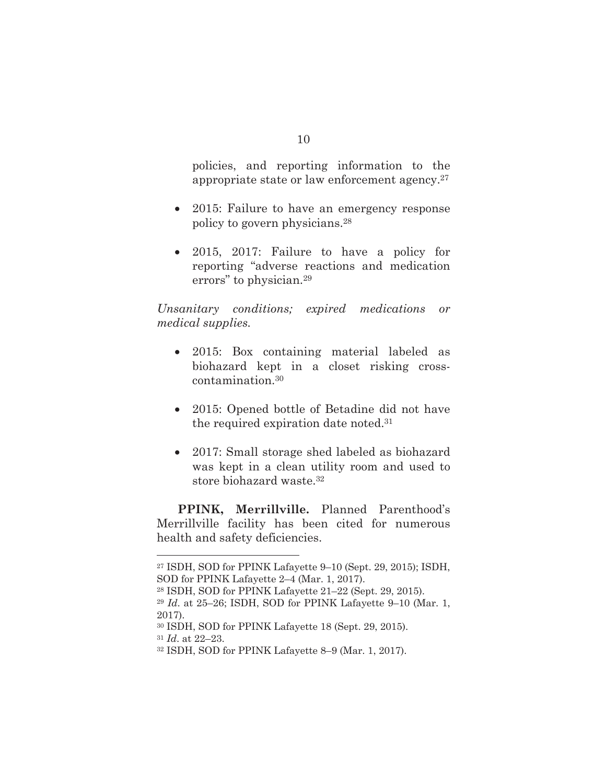policies, and reporting information to the appropriate state or law enforcement agency.27

- 2015: Failure to have an emergency response policy to govern physicians.28
- 2015, 2017: Failure to have a policy for reporting "adverse reactions and medication errors" to physician.29

*Unsanitary conditions; expired medications or medical supplies.* 

- 2015: Box containing material labeled as biohazard kept in a closet risking crosscontamination.30
- 2015: Opened bottle of Betadine did not have the required expiration date noted.31
- 2017: Small storage shed labeled as biohazard was kept in a clean utility room and used to store biohazard waste.32

**PPINK, Merrillville.** Planned Parenthood's Merrillville facility has been cited for numerous health and safety deficiencies.

<sup>27</sup> ISDH, SOD for PPINK Lafayette 9–10 (Sept. 29, 2015); ISDH, SOD for PPINK Lafayette 2–4 (Mar. 1, 2017).

<sup>28</sup> ISDH, SOD for PPINK Lafayette 21–22 (Sept. 29, 2015).

<sup>29</sup> *Id*. at 25–26; ISDH, SOD for PPINK Lafayette 9–10 (Mar. 1, 2017).

<sup>30</sup> ISDH, SOD for PPINK Lafayette 18 (Sept. 29, 2015). <sup>31</sup> *Id*. at 22–23.

<sup>32</sup> ISDH, SOD for PPINK Lafayette 8–9 (Mar. 1, 2017).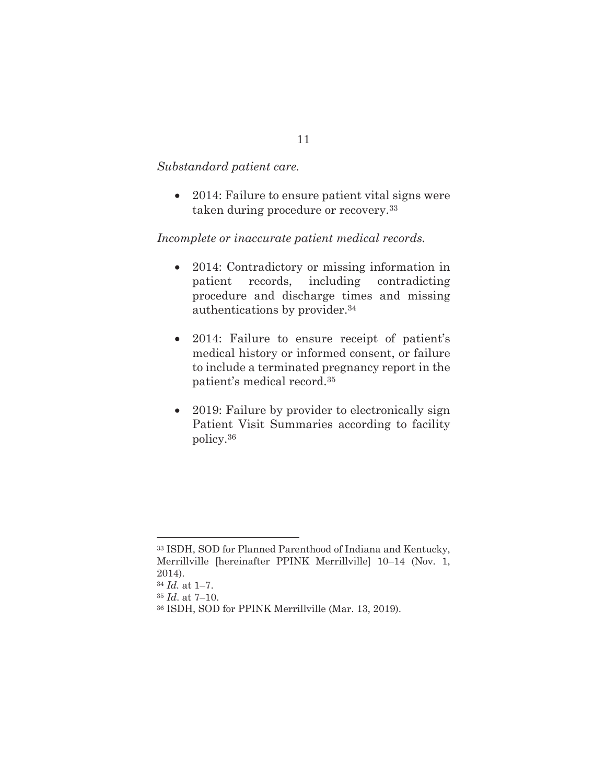#### *Substandard patient care.*

• 2014: Failure to ensure patient vital signs were taken during procedure or recovery.33

## *Incomplete or inaccurate patient medical records.*

- 2014: Contradictory or missing information in patient records, including contradicting procedure and discharge times and missing authentications by provider.34
- 2014: Failure to ensure receipt of patient's medical history or informed consent, or failure to include a terminated pregnancy report in the patient's medical record.35
- 2019: Failure by provider to electronically sign Patient Visit Summaries according to facility policy.36

<sup>33</sup> ISDH, SOD for Planned Parenthood of Indiana and Kentucky, Merrillville [hereinafter PPINK Merrillville] 10–14 (Nov. 1, 2014). <sup>34</sup> *Id.* at 1–7.

<sup>35</sup> *Id*. at 7–10.

<sup>36</sup> ISDH, SOD for PPINK Merrillville (Mar. 13, 2019).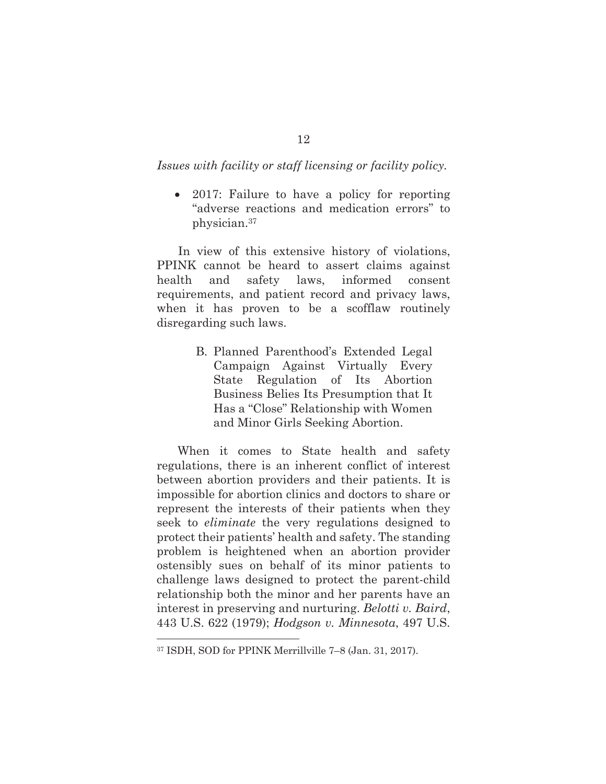#### *Issues with facility or staff licensing or facility policy.*

• 2017: Failure to have a policy for reporting "adverse reactions and medication errors" to physician.37

 In view of this extensive history of violations, PPINK cannot be heard to assert claims against health and safety laws, informed consent requirements, and patient record and privacy laws, when it has proven to be a scofflaw routinely disregarding such laws.

> B. Planned Parenthood's Extended Legal Campaign Against Virtually Every State Regulation of Its Abortion Business Belies Its Presumption that It Has a "Close" Relationship with Women and Minor Girls Seeking Abortion.

When it comes to State health and safety regulations, there is an inherent conflict of interest between abortion providers and their patients. It is impossible for abortion clinics and doctors to share or represent the interests of their patients when they seek to *eliminate* the very regulations designed to protect their patients' health and safety. The standing problem is heightened when an abortion provider ostensibly sues on behalf of its minor patients to challenge laws designed to protect the parent-child relationship both the minor and her parents have an interest in preserving and nurturing. *Belotti v. Baird*, 443 U.S. 622 (1979); *Hodgson v. Minnesota*, 497 U.S.

<sup>37</sup> ISDH, SOD for PPINK Merrillville 7–8 (Jan. 31, 2017).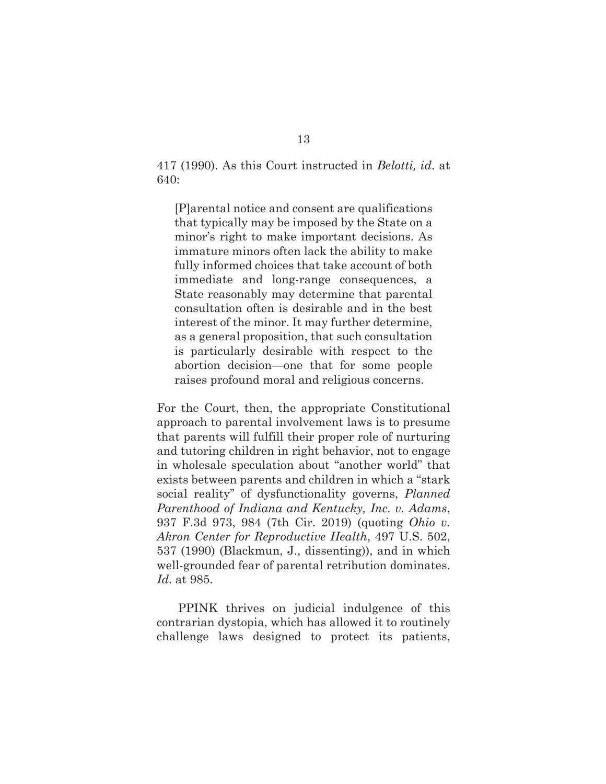417 (1990). As this Court instructed in *Belotti, id*. at 640:

[P]arental notice and consent are qualifications that typically may be imposed by the State on a minor's right to make important decisions. As immature minors often lack the ability to make fully informed choices that take account of both immediate and long-range consequences, a State reasonably may determine that parental consultation often is desirable and in the best interest of the minor. It may further determine, as a general proposition, that such consultation is particularly desirable with respect to the abortion decision—one that for some people raises profound moral and religious concerns.

For the Court, then, the appropriate Constitutional approach to parental involvement laws is to presume that parents will fulfill their proper role of nurturing and tutoring children in right behavior, not to engage in wholesale speculation about "another world" that exists between parents and children in which a "stark social reality" of dysfunctionality governs, *Planned Parenthood of Indiana and Kentucky, Inc. v. Adams*, 937 F.3d 973, 984 (7th Cir. 2019) (quoting *Ohio v. Akron Center for Reproductive Health*, 497 U.S. 502, 537 (1990) (Blackmun, J., dissenting)), and in which well-grounded fear of parental retribution dominates. *Id*. at 985.

 PPINK thrives on judicial indulgence of this contrarian dystopia, which has allowed it to routinely challenge laws designed to protect its patients,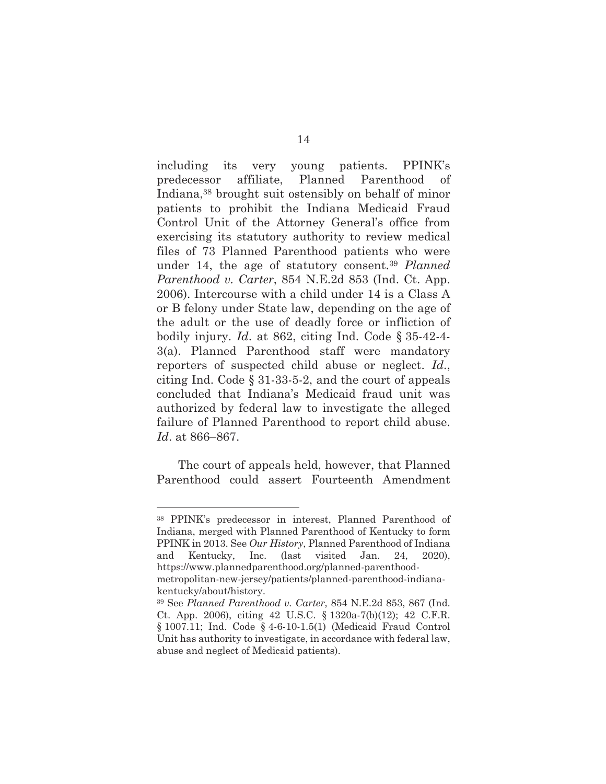including its very young patients. PPINK's predecessor affiliate, Planned Parenthood of Indiana,38 brought suit ostensibly on behalf of minor patients to prohibit the Indiana Medicaid Fraud Control Unit of the Attorney General's office from exercising its statutory authority to review medical files of 73 Planned Parenthood patients who were under 14, the age of statutory consent.39 *Planned Parenthood v. Carter*, 854 N.E.2d 853 (Ind. Ct. App. 2006). Intercourse with a child under 14 is a Class A or B felony under State law, depending on the age of the adult or the use of deadly force or infliction of bodily injury. *Id*. at 862, citing Ind. Code § 35-42-4- 3(a). Planned Parenthood staff were mandatory reporters of suspected child abuse or neglect. *Id*., citing Ind. Code § 31-33-5-2, and the court of appeals concluded that Indiana's Medicaid fraud unit was authorized by federal law to investigate the alleged failure of Planned Parenthood to report child abuse. *Id*. at 866–867.

 The court of appeals held, however, that Planned Parenthood could assert Fourteenth Amendment

<sup>38</sup> PPINK's predecessor in interest, Planned Parenthood of Indiana, merged with Planned Parenthood of Kentucky to form PPINK in 2013. See *Our History*, Planned Parenthood of Indiana and Kentucky, Inc. (last visited Jan. 24, 2020), https://www.plannedparenthood.org/planned-parenthoodmetropolitan-new-jersey/patients/planned-parenthood-indianakentucky/about/history.

<sup>39</sup> See *Planned Parenthood v. Carter*, 854 N.E.2d 853, 867 (Ind. Ct. App. 2006), citing 42 U.S.C. § 1320a-7(b)(12); 42 C.F.R. § 1007.11; Ind. Code § 4-6-10-1.5(1) (Medicaid Fraud Control Unit has authority to investigate, in accordance with federal law, abuse and neglect of Medicaid patients).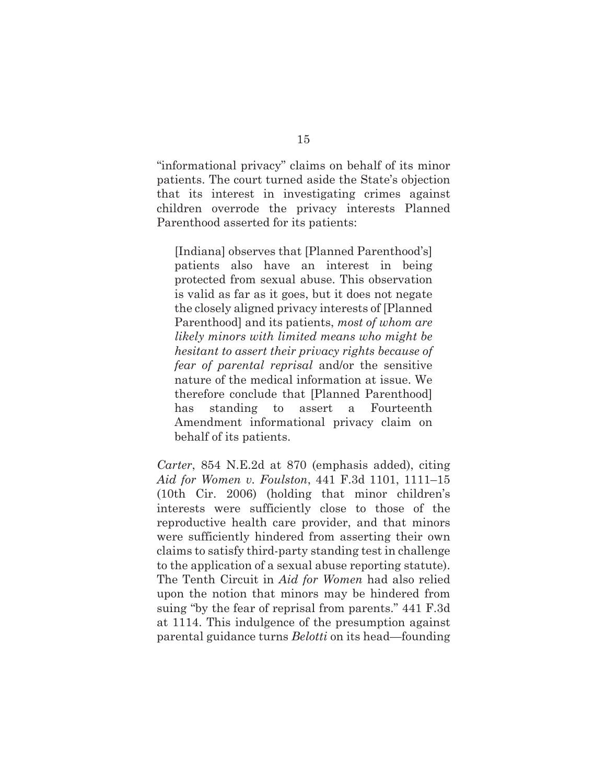"informational privacy" claims on behalf of its minor patients. The court turned aside the State's objection that its interest in investigating crimes against children overrode the privacy interests Planned Parenthood asserted for its patients:

[Indiana] observes that [Planned Parenthood's] patients also have an interest in being protected from sexual abuse. This observation is valid as far as it goes, but it does not negate the closely aligned privacy interests of [Planned Parenthood] and its patients, *most of whom are likely minors with limited means who might be hesitant to assert their privacy rights because of fear of parental reprisal* and/or the sensitive nature of the medical information at issue. We therefore conclude that [Planned Parenthood] has standing to assert a Fourteenth Amendment informational privacy claim on behalf of its patients.

*Carter*, 854 N.E.2d at 870 (emphasis added), citing *Aid for Women v. Foulston*, 441 F.3d 1101, 1111–15 (10th Cir. 2006) (holding that minor children's interests were sufficiently close to those of the reproductive health care provider, and that minors were sufficiently hindered from asserting their own claims to satisfy third-party standing test in challenge to the application of a sexual abuse reporting statute). The Tenth Circuit in *Aid for Women* had also relied upon the notion that minors may be hindered from suing "by the fear of reprisal from parents." 441 F.3d at 1114. This indulgence of the presumption against parental guidance turns *Belotti* on its head—founding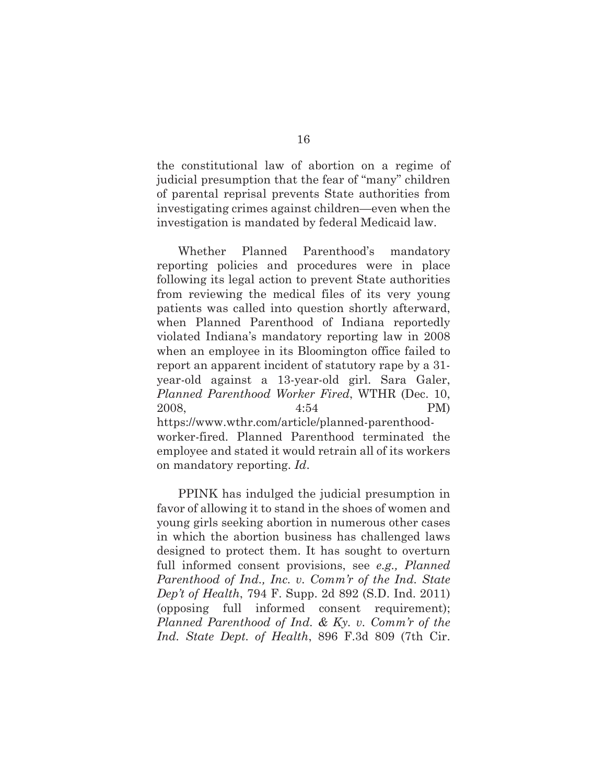the constitutional law of abortion on a regime of judicial presumption that the fear of "many" children of parental reprisal prevents State authorities from investigating crimes against children—even when the investigation is mandated by federal Medicaid law.

 Whether Planned Parenthood's mandatory reporting policies and procedures were in place following its legal action to prevent State authorities from reviewing the medical files of its very young patients was called into question shortly afterward, when Planned Parenthood of Indiana reportedly violated Indiana's mandatory reporting law in 2008 when an employee in its Bloomington office failed to report an apparent incident of statutory rape by a 31 year-old against a 13-year-old girl. Sara Galer, *Planned Parenthood Worker Fired*, WTHR (Dec. 10, 2008, 4:54 PM) https://www.wthr.com/article/planned-parenthoodworker-fired. Planned Parenthood terminated the employee and stated it would retrain all of its workers on mandatory reporting. *Id*.

PPINK has indulged the judicial presumption in favor of allowing it to stand in the shoes of women and young girls seeking abortion in numerous other cases in which the abortion business has challenged laws designed to protect them. It has sought to overturn full informed consent provisions, see *e.g., Planned Parenthood of Ind., Inc. v. Comm'r of the Ind. State Dep't of Health*, 794 F. Supp. 2d 892 (S.D. Ind. 2011) (opposing full informed consent requirement); *Planned Parenthood of Ind. & Ky. v. Comm'r of the Ind. State Dept. of Health*, 896 F.3d 809 (7th Cir.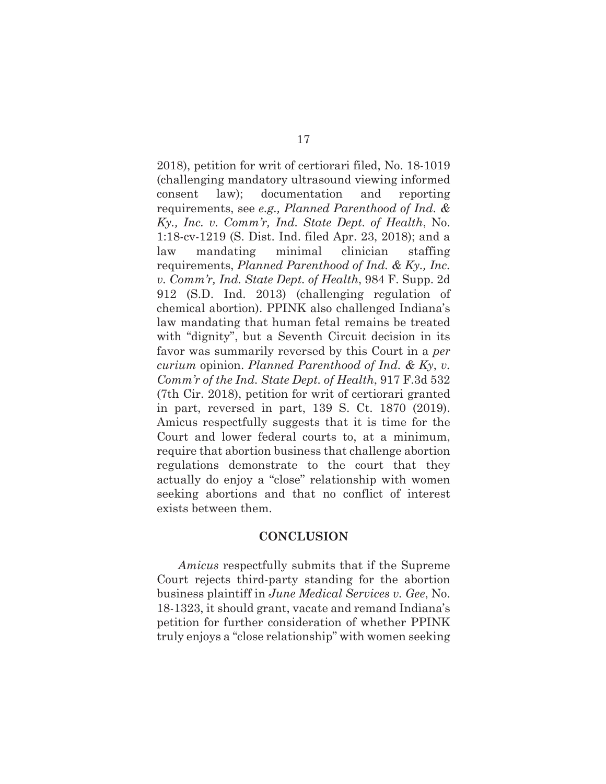2018), petition for writ of certiorari filed, No. 18-1019 (challenging mandatory ultrasound viewing informed consent law); documentation and reporting requirements, see *e.g., Planned Parenthood of Ind. & Ky., Inc. v. Comm'r, Ind. State Dept. of Health*, No. 1:18-cv-1219 (S. Dist. Ind. filed Apr. 23, 2018); and a law mandating minimal clinician staffing requirements, *Planned Parenthood of Ind. & Ky., Inc. v. Comm'r, Ind. State Dept. of Health*, 984 F. Supp. 2d 912 (S.D. Ind. 2013) (challenging regulation of chemical abortion). PPINK also challenged Indiana's law mandating that human fetal remains be treated with "dignity", but a Seventh Circuit decision in its favor was summarily reversed by this Court in a *per curium* opinion. *Planned Parenthood of Ind. & Ky*, *v. Comm'r of the Ind. State Dept. of Health*, 917 F.3d 532 (7th Cir. 2018), petition for writ of certiorari granted in part, reversed in part, 139 S. Ct. 1870 (2019). Amicus respectfully suggests that it is time for the Court and lower federal courts to, at a minimum, require that abortion business that challenge abortion regulations demonstrate to the court that they actually do enjoy a "close" relationship with women seeking abortions and that no conflict of interest exists between them.

#### **CONCLUSION**

*Amicus* respectfully submits that if the Supreme Court rejects third-party standing for the abortion business plaintiff in *June Medical Services v. Gee*, No. 18-1323, it should grant, vacate and remand Indiana's petition for further consideration of whether PPINK truly enjoys a "close relationship" with women seeking